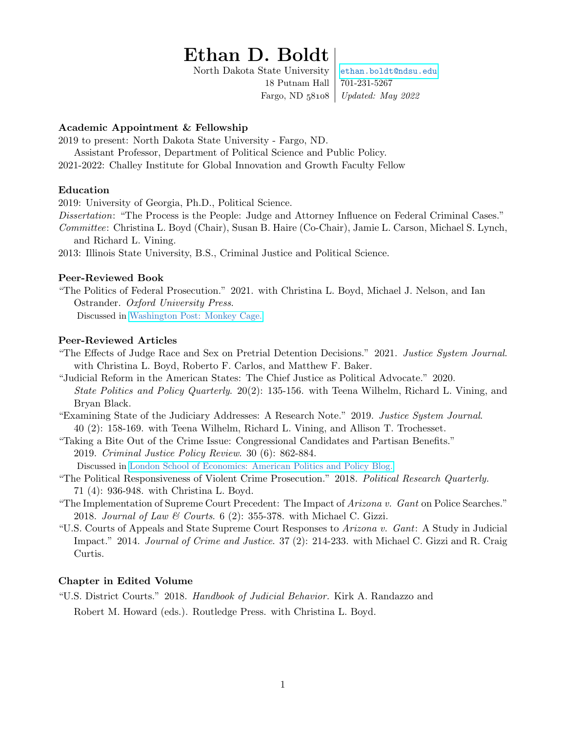# Ethan D. Boldt

North Dakota State University [ethan.boldt@ndsu.edu](mailto:ethan.boldt@ndsu.edu) 18 Putnam Hall 701-231-5267 Fargo, ND  $58108$  *Updated: May 2022* 

## Academic Appointment & Fellowship

2019 to present: North Dakota State University - Fargo, ND.

Assistant Professor, Department of Political Science and Public Policy. 2021-2022: Challey Institute for Global Innovation and Growth Faculty Fellow

#### Education

2019: University of Georgia, Ph.D., Political Science.

Dissertation: "The Process is the People: Judge and Attorney Influence on Federal Criminal Cases."

Committee: Christina L. Boyd (Chair), Susan B. Haire (Co-Chair), Jamie L. Carson, Michael S. Lynch, and Richard L. Vining.

2013: Illinois State University, B.S., Criminal Justice and Political Science.

#### Peer-Reviewed Book

"The Politics of Federal Prosecution." 2021. with Christina L. Boyd, Michael J. Nelson, and Ian Ostrander. Oxford University Press.

Discussed in [Washington Post: Monkey Cage.](https://www.washingtonpost.com/politics/2021/02/01/when-bidens-new-us-attorneys-prosecute-capitol-rioters-they-will-pay-attention-his-signals/)

## Peer-Reviewed Articles

- "The Effects of Judge Race and Sex on Pretrial Detention Decisions." 2021. Justice System Journal. with Christina L. Boyd, Roberto F. Carlos, and Matthew F. Baker.
- "Judicial Reform in the American States: The Chief Justice as Political Advocate." 2020. State Politics and Policy Quarterly. 20(2): 135-156. with Teena Wilhelm, Richard L. Vining, and Bryan Black.
- "Examining State of the Judiciary Addresses: A Research Note." 2019. Justice System Journal. 40 (2): 158-169. with Teena Wilhelm, Richard L. Vining, and Allison T. Trochesset.
- "Taking a Bite Out of the Crime Issue: Congressional Candidates and Partisan Benefits." 2019. Criminal Justice Policy Review. 30 (6): 862-884.

Discussed in [London School of Economics: American Politics and Policy Blog.](http://bit.ly/2hmN7D9)

- "The Political Responsiveness of Violent Crime Prosecution." 2018. Political Research Quarterly. 71 (4): 936-948. with Christina L. Boyd.
- "The Implementation of Supreme Court Precedent: The Impact of Arizona v. Gant on Police Searches." 2018. Journal of Law & Courts. 6 (2): 355-378. with Michael C. Gizzi.
- "U.S. Courts of Appeals and State Supreme Court Responses to Arizona v. Gant: A Study in Judicial Impact." 2014. Journal of Crime and Justice. 37 (2): 214-233. with Michael C. Gizzi and R. Craig Curtis.

## Chapter in Edited Volume

"U.S. District Courts." 2018. Handbook of Judicial Behavior. Kirk A. Randazzo and Robert M. Howard (eds.). Routledge Press. with Christina L. Boyd.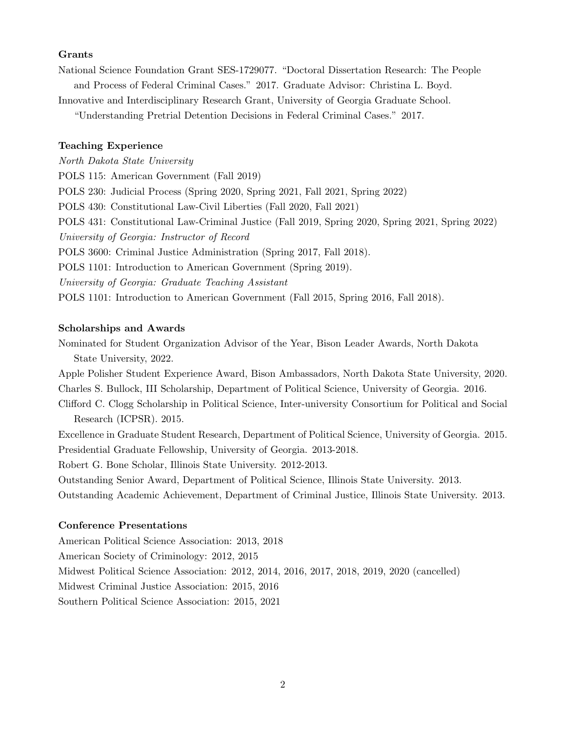#### Grants

National Science Foundation Grant SES-1729077. "Doctoral Dissertation Research: The People and Process of Federal Criminal Cases." 2017. Graduate Advisor: Christina L. Boyd.

Innovative and Interdisciplinary Research Grant, University of Georgia Graduate School.

"Understanding Pretrial Detention Decisions in Federal Criminal Cases." 2017.

#### Teaching Experience

North Dakota State University POLS 115: American Government (Fall 2019) POLS 230: Judicial Process (Spring 2020, Spring 2021, Fall 2021, Spring 2022) POLS 430: Constitutional Law-Civil Liberties (Fall 2020, Fall 2021) POLS 431: Constitutional Law-Criminal Justice (Fall 2019, Spring 2020, Spring 2021, Spring 2022) University of Georgia: Instructor of Record POLS 3600: Criminal Justice Administration (Spring 2017, Fall 2018). POLS 1101: Introduction to American Government (Spring 2019). University of Georgia: Graduate Teaching Assistant POLS 1101: Introduction to American Government (Fall 2015, Spring 2016, Fall 2018).

#### Scholarships and Awards

Nominated for Student Organization Advisor of the Year, Bison Leader Awards, North Dakota State University, 2022.

Apple Polisher Student Experience Award, Bison Ambassadors, North Dakota State University, 2020. Charles S. Bullock, III Scholarship, Department of Political Science, University of Georgia. 2016.

Clifford C. Clogg Scholarship in Political Science, Inter-university Consortium for Political and Social Research (ICPSR). 2015.

Excellence in Graduate Student Research, Department of Political Science, University of Georgia. 2015. Presidential Graduate Fellowship, University of Georgia. 2013-2018.

Robert G. Bone Scholar, Illinois State University. 2012-2013.

Outstanding Senior Award, Department of Political Science, Illinois State University. 2013.

Outstanding Academic Achievement, Department of Criminal Justice, Illinois State University. 2013.

#### Conference Presentations

American Political Science Association: 2013, 2018

American Society of Criminology: 2012, 2015

Midwest Political Science Association: 2012, 2014, 2016, 2017, 2018, 2019, 2020 (cancelled)

Midwest Criminal Justice Association: 2015, 2016

Southern Political Science Association: 2015, 2021